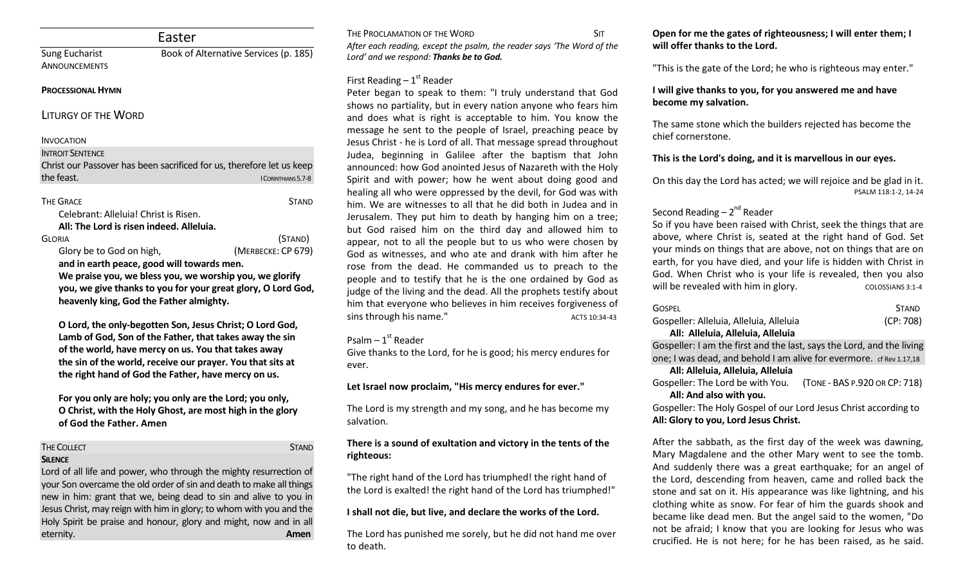|                                                                                   | Easter                                                                |
|-----------------------------------------------------------------------------------|-----------------------------------------------------------------------|
| <b>Sung Eucharist</b><br><b>ANNOUNCEMENTS</b>                                     | Book of Alternative Services (p. 185)                                 |
| <b>PROCESSIONAL HYMN</b>                                                          |                                                                       |
| <b>LITURGY OF THE WORD</b>                                                        |                                                                       |
| <b>INVOCATION</b>                                                                 |                                                                       |
| <b>INTROIT SENTENCE</b>                                                           |                                                                       |
|                                                                                   | Christ our Passover has been sacrificed for us, therefore let us keep |
| the feast.                                                                        | I CORINTHIANS 5.7-8                                                   |
|                                                                                   |                                                                       |
| <b>THE GRACE</b>                                                                  | <b>STAND</b>                                                          |
| Celebrant: Alleluia! Christ is Risen.<br>All: The Lord is risen indeed. Alleluia. |                                                                       |
| <b>GLORIA</b>                                                                     | (STAND)                                                               |
| Glory be to God on high,                                                          | (MERBECKE: CP 679)                                                    |
|                                                                                   | and in earth peace, good will towards men.                            |
|                                                                                   | We praise you, we bless you, we worship you, we glorify               |
|                                                                                   | you, we give thanks to you for your great glory, O Lord God,          |
|                                                                                   |                                                                       |
| heavenly king, God the Father almighty.                                           |                                                                       |

**Lamb of God, Son of the Father, that takes away the sin of the world, have mercy on us. You that takes away the sin of the world, receive our prayer. You that sits at the right hand of God the Father, have mercy on us.** 

**For you only are holy; you only are the Lord; you only, O Christ, with the Holy Ghost, are most high in the glory of God the Father. Amen**

#### THE COLLECT **STAND**

#### **SILENCE**

Lord of all life and power, who through the mighty resurrection of your Son overcame the old order of sin and death to make all things new in him: grant that we, being dead to sin and alive to you in Jesus Christ, may reign with him in glory; to whom with you and the Holy Spirit be praise and honour, glory and might, now and in all eternity. **Amen**

THE PROCLAMATION OF THE WORD SIT *After each reading, except the psalm, the reader says 'The Word of the Lord' and we respond: Thanks be to God.* 

# First Reading  $-1<sup>st</sup>$  Reader

Peter began to speak to them: "I truly understand that God shows no partiality, but in every nation anyone who fears him and does what is right is acceptable to him. You know the message he sent to the people of Israel, preaching peace by Jesus Christ - he is Lord of all. That message spread throughout Judea, beginning in Galilee after the baptism that John announced: how God anointed Jesus of Nazareth with the Holy Spirit and with power; how he went about doing good and healing all who were oppressed by the devil, for God was with him. We are witnesses to all that he did both in Judea and in Jerusalem. They put him to death by hanging him on a tree; but God raised him on the third day and allowed him to appear, not to all the people but to us who were chosen by God as witnesses, and who ate and drank with him after he rose from the dead. He commanded us to preach to the people and to testify that he is the one ordained by God as judge of the living and the dead. All the prophets testify about him that everyone who believes in him receives forgiveness of sins through his name."

# Psalm – 1st Reader

Give thanks to the Lord, for he is good; his mercy endures for ever.

### **Let Israel now proclaim, "His mercy endures for ever."**

The Lord is my strength and my song, and he has become my salvation.

### **There is a sound of exultation and victory in the tents of the righteous:**

"The right hand of the Lord has triumphed! the right hand of the Lord is exalted! the right hand of the Lord has triumphed!"

# **I shall not die, but live, and declare the works of the Lord.**

The Lord has punished me sorely, but he did not hand me over to death.

# **Open for me the gates of righteousness; I will enter them; I will offer thanks to the Lord.**

"This is the gate of the Lord; he who is righteous may enter."

# **I will give thanks to you, for you answered me and have become my salvation.**

The same stone which the builders rejected has become the chief cornerstone.

# **This is the Lord's doing, and it is marvellous in our eyes.**

On this day the Lord has acted; we will rejoice and be glad in it. PSALM 118:1-2, 14-24

# Second Reading – 2<sup>nd</sup> Reader

So if you have been raised with Christ, seek the things that are above, where Christ is, seated at the right hand of God. Set your minds on things that are above, not on things that are on earth, for you have died, and your life is hidden with Christ in God. When Christ who is your life is revealed, then you also will be revealed with him in glory. COLOSSIANS 3:1-4

| <b>GOSPEL</b>                           | <b>STAND</b> |
|-----------------------------------------|--------------|
| Gospeller: Alleluia, Alleluia, Alleluia | (CP: 708)    |
| All: Alleluia, Alleluia, Alleluia       |              |

Gospeller: I am the first and the last, says the Lord, and the living one; I was dead, and behold I am alive for evermore. cf Rev 1.17,18

## **All: Alleluia, Alleluia, Alleluia**

Gospeller: The Lord be with You. (TONE - BAS P.920 OR CP: 718) **All: And also with you.** 

Gospeller: The Holy Gospel of our Lord Jesus Christ according to **All: Glory to you, Lord Jesus Christ.**

After the sabbath, as the first day of the week was dawning, Mary Magdalene and the other Mary went to see the tomb. And suddenly there was a great earthquake; for an angel of the Lord, descending from heaven, came and rolled back the stone and sat on it. His appearance was like lightning, and his clothing white as snow. For fear of him the guards shook and became like dead men. But the angel said to the women, "Do not be afraid; I know that you are looking for Jesus who was crucified. He is not here; for he has been raised, as he said.